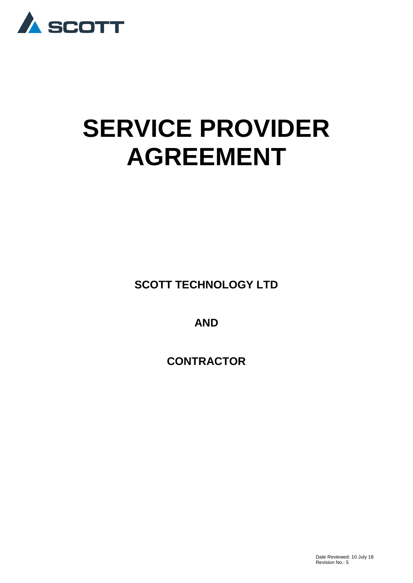

# **SERVICE PROVIDER AGREEMENT**

**SCOTT TECHNOLOGY LTD**

**AND**

**CONTRACTOR**

 Date Reviewed: 10 July 18 Revision No.: 5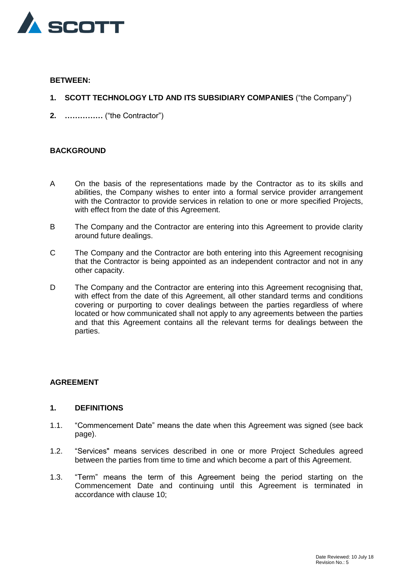

#### **BETWEEN:**

- **1. SCOTT TECHNOLOGY LTD AND ITS SUBSIDIARY COMPANIES** ("the Company")
- **2. ……………** ("the Contractor")

#### **BACKGROUND**

- A On the basis of the representations made by the Contractor as to its skills and abilities, the Company wishes to enter into a formal service provider arrangement with the Contractor to provide services in relation to one or more specified Projects, with effect from the date of this Agreement.
- B The Company and the Contractor are entering into this Agreement to provide clarity around future dealings.
- C The Company and the Contractor are both entering into this Agreement recognising that the Contractor is being appointed as an independent contractor and not in any other capacity.
- D The Company and the Contractor are entering into this Agreement recognising that, with effect from the date of this Agreement, all other standard terms and conditions covering or purporting to cover dealings between the parties regardless of where located or how communicated shall not apply to any agreements between the parties and that this Agreement contains all the relevant terms for dealings between the parties.

#### **AGREEMENT**

#### **1. DEFINITIONS**

- 1.1. "Commencement Date" means the date when this Agreement was signed (see back page).
- 1.2. "Services" means services described in one or more Project Schedules agreed between the parties from time to time and which become a part of this Agreement.
- 1.3. "Term" means the term of this Agreement being the period starting on the Commencement Date and continuing until this Agreement is terminated in accordance with clause 10;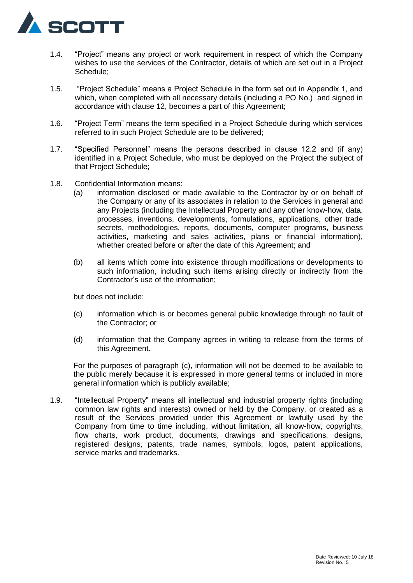

- 1.4. "Project" means any project or work requirement in respect of which the Company wishes to use the services of the Contractor, details of which are set out in a Project Schedule;
- 1.5. "Project Schedule" means a Project Schedule in the form set out in Appendix 1, and which, when completed with all necessary details (including a PO No.) and signed in accordance with clause 12, becomes a part of this Agreement;
- 1.6. "Project Term" means the term specified in a Project Schedule during which services referred to in such Project Schedule are to be delivered;
- 1.7. "Specified Personnel" means the persons described in clause 12.2 and (if any) identified in a Project Schedule, who must be deployed on the Project the subject of that Project Schedule;
- 1.8. Confidential Information means:
	- (a) information disclosed or made available to the Contractor by or on behalf of the Company or any of its associates in relation to the Services in general and any Projects (including the Intellectual Property and any other know-how, data, processes, inventions, developments, formulations, applications, other trade secrets, methodologies, reports, documents, computer programs, business activities, marketing and sales activities, plans or financial information), whether created before or after the date of this Agreement; and
	- (b) all items which come into existence through modifications or developments to such information, including such items arising directly or indirectly from the Contractor's use of the information;

but does not include:

- (c) information which is or becomes general public knowledge through no fault of the Contractor; or
- (d) information that the Company agrees in writing to release from the terms of this Agreement.

For the purposes of paragraph (c), information will not be deemed to be available to the public merely because it is expressed in more general terms or included in more general information which is publicly available;

1.9. "Intellectual Property" means all intellectual and industrial property rights (including common law rights and interests) owned or held by the Company, or created as a result of the Services provided under this Agreement or lawfully used by the Company from time to time including, without limitation, all know-how, copyrights, flow charts, work product, documents, drawings and specifications, designs, registered designs, patents, trade names, symbols, logos, patent applications, service marks and trademarks.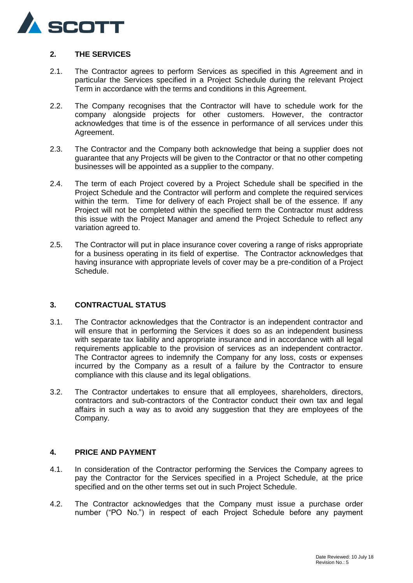

# **2. THE SERVICES**

- 2.1. The Contractor agrees to perform Services as specified in this Agreement and in particular the Services specified in a Project Schedule during the relevant Project Term in accordance with the terms and conditions in this Agreement.
- 2.2. The Company recognises that the Contractor will have to schedule work for the company alongside projects for other customers. However, the contractor acknowledges that time is of the essence in performance of all services under this Agreement.
- 2.3. The Contractor and the Company both acknowledge that being a supplier does not guarantee that any Projects will be given to the Contractor or that no other competing businesses will be appointed as a supplier to the company.
- 2.4. The term of each Project covered by a Project Schedule shall be specified in the Project Schedule and the Contractor will perform and complete the required services within the term. Time for delivery of each Project shall be of the essence. If any Project will not be completed within the specified term the Contractor must address this issue with the Project Manager and amend the Project Schedule to reflect any variation agreed to.
- 2.5. The Contractor will put in place insurance cover covering a range of risks appropriate for a business operating in its field of expertise. The Contractor acknowledges that having insurance with appropriate levels of cover may be a pre-condition of a Project Schedule.

#### **3. CONTRACTUAL STATUS**

- 3.1. The Contractor acknowledges that the Contractor is an independent contractor and will ensure that in performing the Services it does so as an independent business with separate tax liability and appropriate insurance and in accordance with all legal requirements applicable to the provision of services as an independent contractor. The Contractor agrees to indemnify the Company for any loss, costs or expenses incurred by the Company as a result of a failure by the Contractor to ensure compliance with this clause and its legal obligations.
- 3.2. The Contractor undertakes to ensure that all employees, shareholders, directors, contractors and sub-contractors of the Contractor conduct their own tax and legal affairs in such a way as to avoid any suggestion that they are employees of the Company.

#### **4. PRICE AND PAYMENT**

- 4.1. In consideration of the Contractor performing the Services the Company agrees to pay the Contractor for the Services specified in a Project Schedule, at the price specified and on the other terms set out in such Project Schedule.
- 4.2. The Contractor acknowledges that the Company must issue a purchase order number ("PO No.") in respect of each Project Schedule before any payment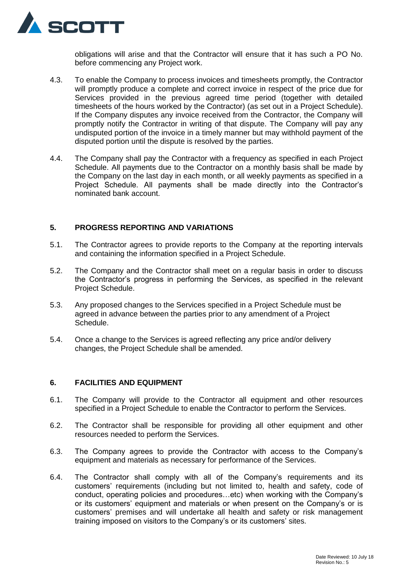

obligations will arise and that the Contractor will ensure that it has such a PO No. before commencing any Project work.

- 4.3. To enable the Company to process invoices and timesheets promptly, the Contractor will promptly produce a complete and correct invoice in respect of the price due for Services provided in the previous agreed time period (together with detailed timesheets of the hours worked by the Contractor) (as set out in a Project Schedule). If the Company disputes any invoice received from the Contractor, the Company will promptly notify the Contractor in writing of that dispute. The Company will pay any undisputed portion of the invoice in a timely manner but may withhold payment of the disputed portion until the dispute is resolved by the parties.
- 4.4. The Company shall pay the Contractor with a frequency as specified in each Project Schedule. All payments due to the Contractor on a monthly basis shall be made by the Company on the last day in each month, or all weekly payments as specified in a Project Schedule. All payments shall be made directly into the Contractor's nominated bank account.

#### **5. PROGRESS REPORTING AND VARIATIONS**

- 5.1. The Contractor agrees to provide reports to the Company at the reporting intervals and containing the information specified in a Project Schedule.
- 5.2. The Company and the Contractor shall meet on a regular basis in order to discuss the Contractor's progress in performing the Services, as specified in the relevant Project Schedule.
- 5.3. Any proposed changes to the Services specified in a Project Schedule must be agreed in advance between the parties prior to any amendment of a Project Schedule.
- 5.4. Once a change to the Services is agreed reflecting any price and/or delivery changes, the Project Schedule shall be amended.

#### **6. FACILITIES AND EQUIPMENT**

- 6.1. The Company will provide to the Contractor all equipment and other resources specified in a Project Schedule to enable the Contractor to perform the Services.
- 6.2. The Contractor shall be responsible for providing all other equipment and other resources needed to perform the Services.
- 6.3. The Company agrees to provide the Contractor with access to the Company's equipment and materials as necessary for performance of the Services.
- 6.4. The Contractor shall comply with all of the Company's requirements and its customers' requirements (including but not limited to, health and safety, code of conduct, operating policies and procedures…etc) when working with the Company's or its customers' equipment and materials or when present on the Company's or is customers' premises and will undertake all health and safety or risk management training imposed on visitors to the Company's or its customers' sites.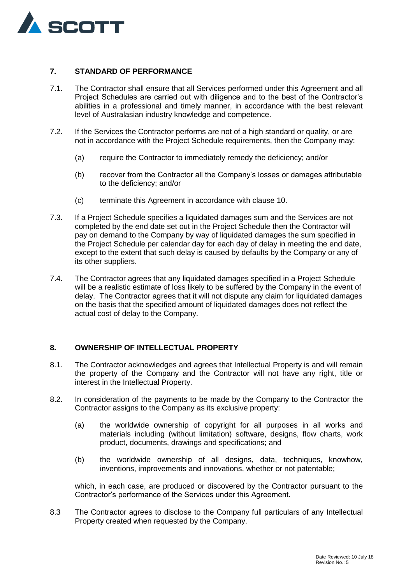

#### **7. STANDARD OF PERFORMANCE**

- 7.1. The Contractor shall ensure that all Services performed under this Agreement and all Project Schedules are carried out with diligence and to the best of the Contractor's abilities in a professional and timely manner, in accordance with the best relevant level of Australasian industry knowledge and competence.
- 7.2. If the Services the Contractor performs are not of a high standard or quality, or are not in accordance with the Project Schedule requirements, then the Company may:
	- (a) require the Contractor to immediately remedy the deficiency; and/or
	- (b) recover from the Contractor all the Company's losses or damages attributable to the deficiency; and/or
	- (c) terminate this Agreement in accordance with clause 10.
- 7.3. If a Project Schedule specifies a liquidated damages sum and the Services are not completed by the end date set out in the Project Schedule then the Contractor will pay on demand to the Company by way of liquidated damages the sum specified in the Project Schedule per calendar day for each day of delay in meeting the end date, except to the extent that such delay is caused by defaults by the Company or any of its other suppliers.
- 7.4. The Contractor agrees that any liquidated damages specified in a Project Schedule will be a realistic estimate of loss likely to be suffered by the Company in the event of delay. The Contractor agrees that it will not dispute any claim for liquidated damages on the basis that the specified amount of liquidated damages does not reflect the actual cost of delay to the Company.

#### **8. OWNERSHIP OF INTELLECTUAL PROPERTY**

- 8.1. The Contractor acknowledges and agrees that Intellectual Property is and will remain the property of the Company and the Contractor will not have any right, title or interest in the Intellectual Property.
- 8.2. In consideration of the payments to be made by the Company to the Contractor the Contractor assigns to the Company as its exclusive property:
	- (a) the worldwide ownership of copyright for all purposes in all works and materials including (without limitation) software, designs, flow charts, work product, documents, drawings and specifications; and
	- (b) the worldwide ownership of all designs, data, techniques, knowhow, inventions, improvements and innovations, whether or not patentable;

which, in each case, are produced or discovered by the Contractor pursuant to the Contractor's performance of the Services under this Agreement.

8.3 The Contractor agrees to disclose to the Company full particulars of any Intellectual Property created when requested by the Company.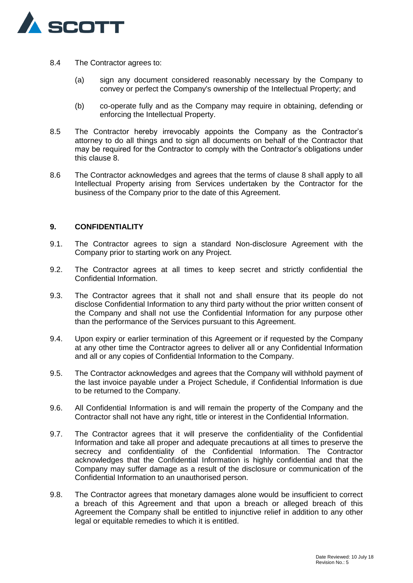

- 8.4 The Contractor agrees to:
	- (a) sign any document considered reasonably necessary by the Company to convey or perfect the Company's ownership of the Intellectual Property; and
	- (b) co-operate fully and as the Company may require in obtaining, defending or enforcing the Intellectual Property.
- 8.5 The Contractor hereby irrevocably appoints the Company as the Contractor's attorney to do all things and to sign all documents on behalf of the Contractor that may be required for the Contractor to comply with the Contractor's obligations under this clause 8.
- 8.6 The Contractor acknowledges and agrees that the terms of clause 8 shall apply to all Intellectual Property arising from Services undertaken by the Contractor for the business of the Company prior to the date of this Agreement.

## **9. CONFIDENTIALITY**

- 9.1. The Contractor agrees to sign a standard Non-disclosure Agreement with the Company prior to starting work on any Project.
- 9.2. The Contractor agrees at all times to keep secret and strictly confidential the Confidential Information.
- 9.3. The Contractor agrees that it shall not and shall ensure that its people do not disclose Confidential Information to any third party without the prior written consent of the Company and shall not use the Confidential Information for any purpose other than the performance of the Services pursuant to this Agreement.
- 9.4. Upon expiry or earlier termination of this Agreement or if requested by the Company at any other time the Contractor agrees to deliver all or any Confidential Information and all or any copies of Confidential Information to the Company.
- 9.5. The Contractor acknowledges and agrees that the Company will withhold payment of the last invoice payable under a Project Schedule, if Confidential Information is due to be returned to the Company.
- 9.6. All Confidential Information is and will remain the property of the Company and the Contractor shall not have any right, title or interest in the Confidential Information.
- 9.7. The Contractor agrees that it will preserve the confidentiality of the Confidential Information and take all proper and adequate precautions at all times to preserve the secrecy and confidentiality of the Confidential Information. The Contractor acknowledges that the Confidential Information is highly confidential and that the Company may suffer damage as a result of the disclosure or communication of the Confidential Information to an unauthorised person.
- 9.8. The Contractor agrees that monetary damages alone would be insufficient to correct a breach of this Agreement and that upon a breach or alleged breach of this Agreement the Company shall be entitled to injunctive relief in addition to any other legal or equitable remedies to which it is entitled.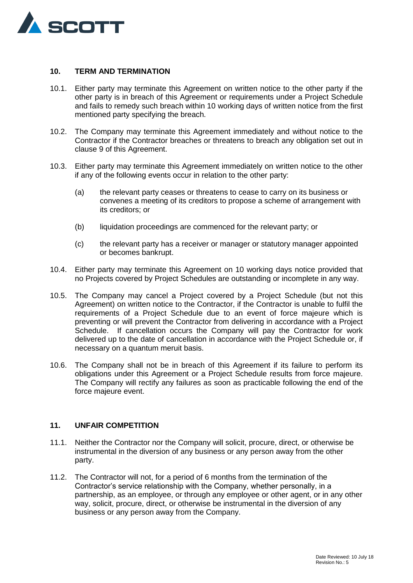

#### **10. TERM AND TERMINATION**

- 10.1. Either party may terminate this Agreement on written notice to the other party if the other party is in breach of this Agreement or requirements under a Project Schedule and fails to remedy such breach within 10 working days of written notice from the first mentioned party specifying the breach.
- 10.2. The Company may terminate this Agreement immediately and without notice to the Contractor if the Contractor breaches or threatens to breach any obligation set out in clause 9 of this Agreement.
- 10.3. Either party may terminate this Agreement immediately on written notice to the other if any of the following events occur in relation to the other party:
	- (a) the relevant party ceases or threatens to cease to carry on its business or convenes a meeting of its creditors to propose a scheme of arrangement with its creditors; or
	- (b) liquidation proceedings are commenced for the relevant party; or
	- (c) the relevant party has a receiver or manager or statutory manager appointed or becomes bankrupt.
- 10.4. Either party may terminate this Agreement on 10 working days notice provided that no Projects covered by Project Schedules are outstanding or incomplete in any way.
- 10.5. The Company may cancel a Project covered by a Project Schedule (but not this Agreement) on written notice to the Contractor, if the Contractor is unable to fulfil the requirements of a Project Schedule due to an event of force majeure which is preventing or will prevent the Contractor from delivering in accordance with a Project Schedule. If cancellation occurs the Company will pay the Contractor for work delivered up to the date of cancellation in accordance with the Project Schedule or, if necessary on a quantum meruit basis.
- 10.6. The Company shall not be in breach of this Agreement if its failure to perform its obligations under this Agreement or a Project Schedule results from force majeure. The Company will rectify any failures as soon as practicable following the end of the force majeure event.

#### **11. UNFAIR COMPETITION**

- 11.1. Neither the Contractor nor the Company will solicit, procure, direct, or otherwise be instrumental in the diversion of any business or any person away from the other party.
- 11.2. The Contractor will not, for a period of 6 months from the termination of the Contractor's service relationship with the Company, whether personally, in a partnership, as an employee, or through any employee or other agent, or in any other way, solicit, procure, direct, or otherwise be instrumental in the diversion of any business or any person away from the Company.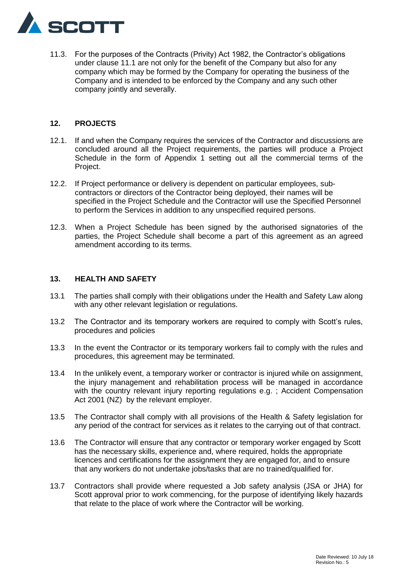

11.3. For the purposes of the Contracts (Privity) Act 1982, the Contractor's obligations under clause 11.1 are not only for the benefit of the Company but also for any company which may be formed by the Company for operating the business of the Company and is intended to be enforced by the Company and any such other company jointly and severally.

#### **12. PROJECTS**

- 12.1. If and when the Company requires the services of the Contractor and discussions are concluded around all the Project requirements, the parties will produce a Project Schedule in the form of Appendix 1 setting out all the commercial terms of the Project.
- 12.2. If Project performance or delivery is dependent on particular employees, subcontractors or directors of the Contractor being deployed, their names will be specified in the Project Schedule and the Contractor will use the Specified Personnel to perform the Services in addition to any unspecified required persons.
- 12.3. When a Project Schedule has been signed by the authorised signatories of the parties, the Project Schedule shall become a part of this agreement as an agreed amendment according to its terms.

#### **13. HEALTH AND SAFETY**

- 13.1 The parties shall comply with their obligations under the Health and Safety Law along with any other relevant legislation or regulations.
- 13.2 The Contractor and its temporary workers are required to comply with Scott's rules, procedures and policies
- 13.3 In the event the Contractor or its temporary workers fail to comply with the rules and procedures, this agreement may be terminated.
- 13.4 In the unlikely event, a temporary worker or contractor is injured while on assignment, the injury management and rehabilitation process will be managed in accordance with the country relevant injury reporting regulations e.g. ; Accident Compensation Act 2001 (NZ) by the relevant employer.
- 13.5 The Contractor shall comply with all provisions of the Health & Safety legislation for any period of the contract for services as it relates to the carrying out of that contract.
- 13.6 The Contractor will ensure that any contractor or temporary worker engaged by Scott has the necessary skills, experience and, where required, holds the appropriate licences and certifications for the assignment they are engaged for, and to ensure that any workers do not undertake jobs/tasks that are no trained/qualified for.
- 13.7 Contractors shall provide where requested a Job safety analysis (JSA or JHA) for Scott approval prior to work commencing, for the purpose of identifying likely hazards that relate to the place of work where the Contractor will be working.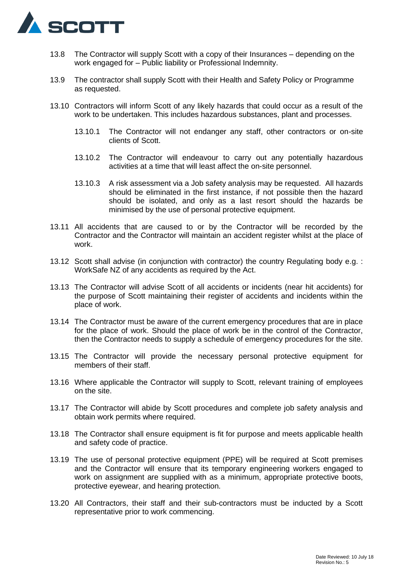

- 13.8 The Contractor will supply Scott with a copy of their Insurances depending on the work engaged for – Public liability or Professional Indemnity.
- 13.9 The contractor shall supply Scott with their Health and Safety Policy or Programme as requested.
- 13.10 Contractors will inform Scott of any likely hazards that could occur as a result of the work to be undertaken. This includes hazardous substances, plant and processes.
	- 13.10.1 The Contractor will not endanger any staff, other contractors or on-site clients of Scott.
	- 13.10.2 The Contractor will endeavour to carry out any potentially hazardous activities at a time that will least affect the on-site personnel.
	- 13.10.3 A risk assessment via a Job safety analysis may be requested. All hazards should be eliminated in the first instance, if not possible then the hazard should be isolated, and only as a last resort should the hazards be minimised by the use of personal protective equipment.
- 13.11 All accidents that are caused to or by the Contractor will be recorded by the Contractor and the Contractor will maintain an accident register whilst at the place of work.
- 13.12 Scott shall advise (in conjunction with contractor) the country Regulating body e.g. : WorkSafe NZ of any accidents as required by the Act.
- 13.13 The Contractor will advise Scott of all accidents or incidents (near hit accidents) for the purpose of Scott maintaining their register of accidents and incidents within the place of work.
- 13.14 The Contractor must be aware of the current emergency procedures that are in place for the place of work. Should the place of work be in the control of the Contractor, then the Contractor needs to supply a schedule of emergency procedures for the site.
- 13.15 The Contractor will provide the necessary personal protective equipment for members of their staff.
- 13.16 Where applicable the Contractor will supply to Scott, relevant training of employees on the site.
- 13.17 The Contractor will abide by Scott procedures and complete job safety analysis and obtain work permits where required.
- 13.18 The Contractor shall ensure equipment is fit for purpose and meets applicable health and safety code of practice.
- 13.19 The use of personal protective equipment (PPE) will be required at Scott premises and the Contractor will ensure that its temporary engineering workers engaged to work on assignment are supplied with as a minimum, appropriate protective boots, protective eyewear, and hearing protection.
- 13.20 All Contractors, their staff and their sub-contractors must be inducted by a Scott representative prior to work commencing.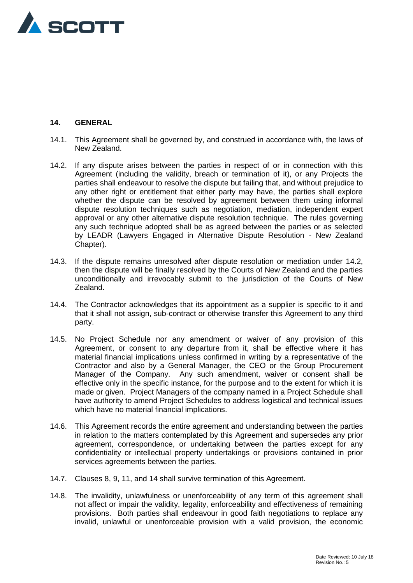

## **14. GENERAL**

- 14.1. This Agreement shall be governed by, and construed in accordance with, the laws of New Zealand.
- 14.2. If any dispute arises between the parties in respect of or in connection with this Agreement (including the validity, breach or termination of it), or any Projects the parties shall endeavour to resolve the dispute but failing that, and without prejudice to any other right or entitlement that either party may have, the parties shall explore whether the dispute can be resolved by agreement between them using informal dispute resolution techniques such as negotiation, mediation, independent expert approval or any other alternative dispute resolution technique. The rules governing any such technique adopted shall be as agreed between the parties or as selected by LEADR (Lawyers Engaged in Alternative Dispute Resolution - New Zealand Chapter).
- 14.3. If the dispute remains unresolved after dispute resolution or mediation under 14.2, then the dispute will be finally resolved by the Courts of New Zealand and the parties unconditionally and irrevocably submit to the jurisdiction of the Courts of New Zealand.
- 14.4. The Contractor acknowledges that its appointment as a supplier is specific to it and that it shall not assign, sub-contract or otherwise transfer this Agreement to any third party.
- 14.5. No Project Schedule nor any amendment or waiver of any provision of this Agreement, or consent to any departure from it, shall be effective where it has material financial implications unless confirmed in writing by a representative of the Contractor and also by a General Manager, the CEO or the Group Procurement Manager of the Company. Any such amendment, waiver or consent shall be effective only in the specific instance, for the purpose and to the extent for which it is made or given. Project Managers of the company named in a Project Schedule shall have authority to amend Project Schedules to address logistical and technical issues which have no material financial implications.
- 14.6. This Agreement records the entire agreement and understanding between the parties in relation to the matters contemplated by this Agreement and supersedes any prior agreement, correspondence, or undertaking between the parties except for any confidentiality or intellectual property undertakings or provisions contained in prior services agreements between the parties.
- 14.7. Clauses 8, 9, 11, and 14 shall survive termination of this Agreement.
- 14.8. The invalidity, unlawfulness or unenforceability of any term of this agreement shall not affect or impair the validity, legality, enforceability and effectiveness of remaining provisions. Both parties shall endeavour in good faith negotiations to replace any invalid, unlawful or unenforceable provision with a valid provision, the economic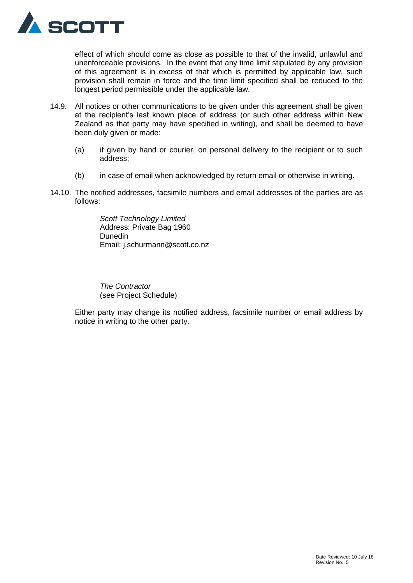

effect of which should come as close as possible to that of the invalid, unlawful and unenforceable provisions. In the event that any time limit stipulated by any provision of this agreement is in excess of that which is permitted by applicable law, such provision shall remain in force and the time limit specified shall be reduced to the longest period permissible under the applicable law.

- 14.9. All notices or other communications to be given under this agreement shall be given at the recipient's last known place of address (or such other address within New Zealand as that party may have specified in writing), and shall be deemed to have been duly given or made:
	- (a) if given by hand or courier, on personal delivery to the recipient or to such address;
	- (b) in case of email when acknowledged by return email or otherwise in writing.
- 14.10. The notified addresses, facsimile numbers and email addresses of the parties are as follows:

*Scott Technology Limited* Address: Private Bag 1960 Dunedin Email: j.schurmann@scott.co.nz

*The Contractor* (see Project Schedule)

Either party may change its notified address, facsimile number or email address by notice in writing to the other party.